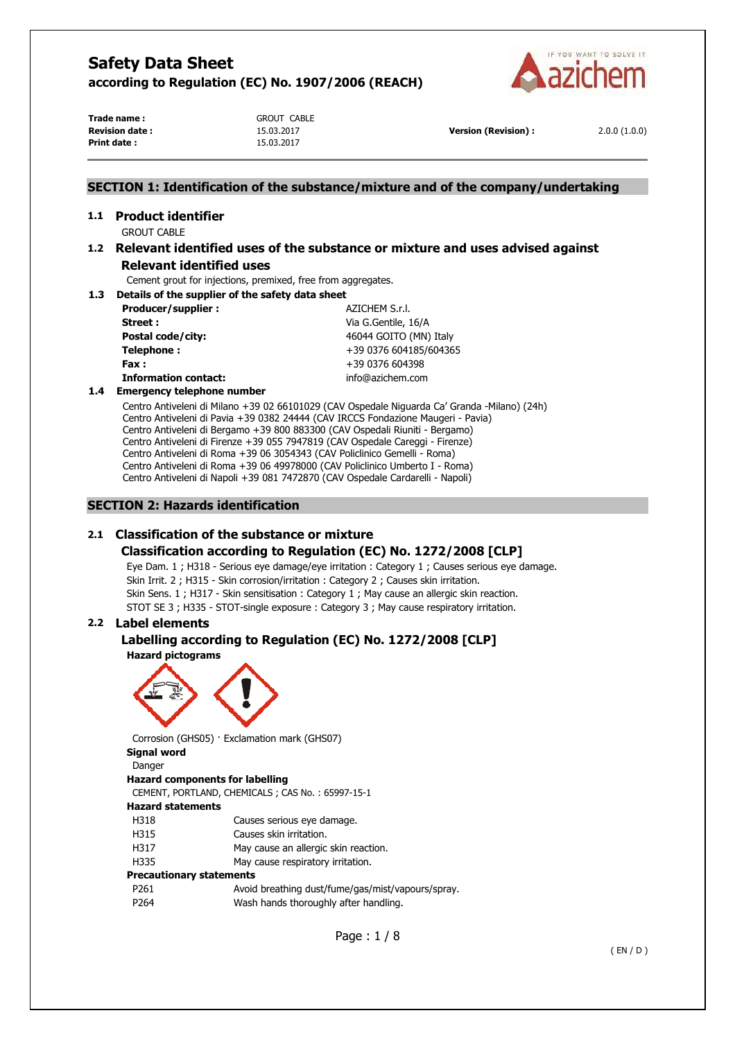

**Trade name :** GROUT CABLE **Print date :** 15.03.2017

**1.1 Product identifier** 

**Revision date :** 15.03.2017 **Version (Revision) :** 2.0.0 (1.0.0)

# **SECTION 1: Identification of the substance/mixture and of the company/undertaking**

# GROUT CABLE **1.2 Relevant identified uses of the substance or mixture and uses advised against Relevant identified uses**

Cement grout for injections, premixed, free from aggregates.

**1.3 Details of the supplier of the safety data sheet** 

| Producer/supplier:          | AZICHEM S.r.l.         |
|-----------------------------|------------------------|
| Street:                     | Via G.Gentile, 16/A    |
| Postal code/city:           | 46044 GOITO (MN) Italy |
| Telephone:                  | +39 0376 604185/604365 |
| Fax :                       | +39 0376 604398        |
| <b>Information contact:</b> | info@azichem.com       |
|                             |                        |

### **1.4 Emergency telephone number**

Centro Antiveleni di Milano +39 02 66101029 (CAV Ospedale Niguarda Ca' Granda -Milano) (24h) Centro Antiveleni di Pavia +39 0382 24444 (CAV IRCCS Fondazione Maugeri - Pavia) Centro Antiveleni di Bergamo +39 800 883300 (CAV Ospedali Riuniti - Bergamo) Centro Antiveleni di Firenze +39 055 7947819 (CAV Ospedale Careggi - Firenze) Centro Antiveleni di Roma +39 06 3054343 (CAV Policlinico Gemelli - Roma) Centro Antiveleni di Roma +39 06 49978000 (CAV Policlinico Umberto I - Roma) Centro Antiveleni di Napoli +39 081 7472870 (CAV Ospedale Cardarelli - Napoli)

# **SECTION 2: Hazards identification**

# **2.1 Classification of the substance or mixture**

# **Classification according to Regulation (EC) No. 1272/2008 [CLP]**

Eye Dam. 1 ; H318 - Serious eye damage/eye irritation : Category 1 ; Causes serious eye damage. Skin Irrit. 2 ; H315 - Skin corrosion/irritation : Category 2 ; Causes skin irritation. Skin Sens. 1 ; H317 - Skin sensitisation : Category 1 ; May cause an allergic skin reaction. STOT SE 3 ; H335 - STOT-single exposure : Category 3 ; May cause respiratory irritation.

# **2.2 Label elements**

### **Labelling according to Regulation (EC) No. 1272/2008 [CLP] Hazard pictograms**



Corrosion (GHS05) · Exclamation mark (GHS07) **Signal word** 

Danger **Hazard components for labelling**  CEMENT, PORTLAND, CHEMICALS ; CAS No. : 65997-15-1 **Hazard statements**  H318 Causes serious eye damage. H315 Causes skin irritation. H317 May cause an allergic skin reaction. H335 May cause respiratory irritation. **Precautionary statements**  P261 Avoid breathing dust/fume/gas/mist/vapours/spray. P264 Wash hands thoroughly after handling.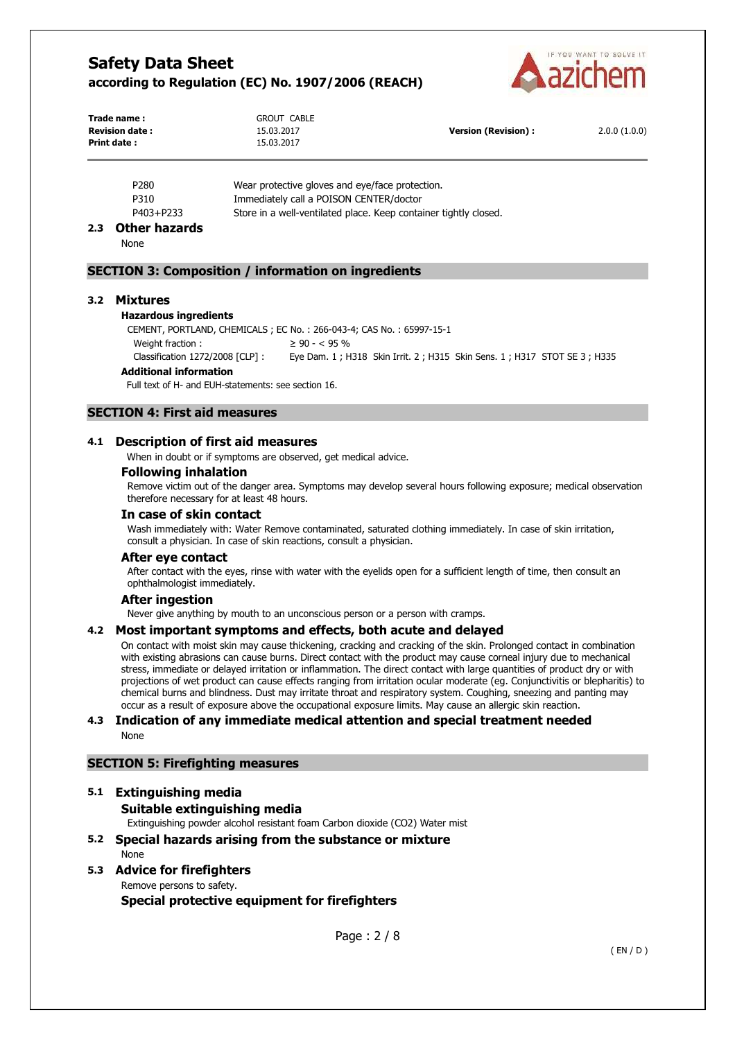

| Trade name :           | <b>GROUT CABLE</b> |                      |              |
|------------------------|--------------------|----------------------|--------------|
| <b>Revision date :</b> | 15.03.2017         | Version (Revision) : | 2.0.0(1.0.0) |
| Print date :           | 15.03.2017         |                      |              |

| P <sub>280</sub> | Wear protective gloves and eye/face protection.                  |
|------------------|------------------------------------------------------------------|
| P310             | Immediately call a POISON CENTER/doctor                          |
| P403+P233        | Store in a well-ventilated place. Keep container tightly closed. |

### **2.3 Other hazards**

None

# **SECTION 3: Composition / information on ingredients**

#### **3.2 Mixtures**

#### **Hazardous ingredients**

CEMENT, PORTLAND, CHEMICALS ; EC No. : 266-043-4; CAS No. : 65997-15-1 Weight fraction :  $\geq 90 - < 95 \%$ 

Classification 1272/2008 [CLP] : Eye Dam. 1 ; H318 Skin Irrit. 2 ; H315 Skin Sens. 1 ; H317 STOT SE 3 ; H335

### **Additional information**

Full text of H- and EUH-statements: see section 16.

# **SECTION 4: First aid measures**

### **4.1 Description of first aid measures**

When in doubt or if symptoms are observed, get medical advice.

#### **Following inhalation**

Remove victim out of the danger area. Symptoms may develop several hours following exposure; medical observation therefore necessary for at least 48 hours.

# **In case of skin contact**

Wash immediately with: Water Remove contaminated, saturated clothing immediately. In case of skin irritation, consult a physician. In case of skin reactions, consult a physician.

#### **After eye contact**

After contact with the eyes, rinse with water with the eyelids open for a sufficient length of time, then consult an ophthalmologist immediately.

#### **After ingestion**

Never give anything by mouth to an unconscious person or a person with cramps.

#### **4.2 Most important symptoms and effects, both acute and delayed**

On contact with moist skin may cause thickening, cracking and cracking of the skin. Prolonged contact in combination with existing abrasions can cause burns. Direct contact with the product may cause corneal injury due to mechanical stress, immediate or delayed irritation or inflammation. The direct contact with large quantities of product dry or with projections of wet product can cause effects ranging from irritation ocular moderate (eg. Conjunctivitis or blepharitis) to chemical burns and blindness. Dust may irritate throat and respiratory system. Coughing, sneezing and panting may occur as a result of exposure above the occupational exposure limits. May cause an allergic skin reaction.

#### **4.3 Indication of any immediate medical attention and special treatment needed**  None

### **SECTION 5: Firefighting measures**

#### **5.1 Extinguishing media**

# **Suitable extinguishing media**

Extinguishing powder alcohol resistant foam Carbon dioxide (CO2) Water mist

# **5.2 Special hazards arising from the substance or mixture**

None

### **5.3 Advice for firefighters**  Remove persons to safety.

**Special protective equipment for firefighters**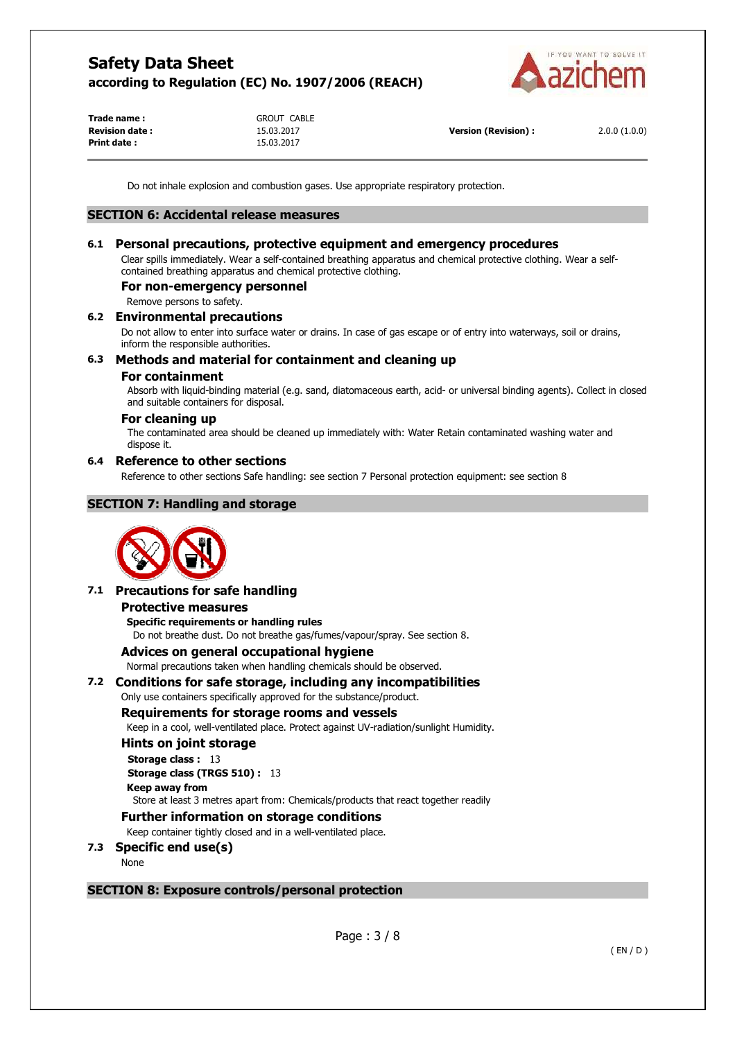

| Trade name :    |  |
|-----------------|--|
| Revision date : |  |
| Print date :    |  |

**Trade name :** GROUT CABLE **Print date :** 15.03.2017

**Revision date :** 15.03.2017 **Version (Revision) :** 2.0.0 (1.0.0)

Do not inhale explosion and combustion gases. Use appropriate respiratory protection.

### **SECTION 6: Accidental release measures**

# **6.1 Personal precautions, protective equipment and emergency procedures**

Clear spills immediately. Wear a self-contained breathing apparatus and chemical protective clothing. Wear a selfcontained breathing apparatus and chemical protective clothing.

### **For non-emergency personnel**

Remove persons to safety.

# **6.2 Environmental precautions**

Do not allow to enter into surface water or drains. In case of gas escape or of entry into waterways, soil or drains, inform the responsible authorities.

### **6.3 Methods and material for containment and cleaning up**

#### **For containment**

Absorb with liquid-binding material (e.g. sand, diatomaceous earth, acid- or universal binding agents). Collect in closed and suitable containers for disposal.

### **For cleaning up**

The contaminated area should be cleaned up immediately with: Water Retain contaminated washing water and dispose it.

### **6.4 Reference to other sections**

Reference to other sections Safe handling: see section 7 Personal protection equipment: see section 8

# **SECTION 7: Handling and storage**



# **7.1 Precautions for safe handling**

#### **Protective measures**

**Specific requirements or handling rules**  Do not breathe dust. Do not breathe gas/fumes/vapour/spray. See section 8.

#### **Advices on general occupational hygiene**

Normal precautions taken when handling chemicals should be observed.

# **7.2 Conditions for safe storage, including any incompatibilities**

Only use containers specifically approved for the substance/product.

#### **Requirements for storage rooms and vessels**

Keep in a cool, well-ventilated place. Protect against UV-radiation/sunlight Humidity.

#### **Hints on joint storage**

**Storage class :** 13 **Storage class (TRGS 510) :** 13 **Keep away from**  Store at least 3 metres apart from: Chemicals/products that react together readily

# **Further information on storage conditions**

Keep container tightly closed and in a well-ventilated place.

# **7.3 Specific end use(s)**

None

# **SECTION 8: Exposure controls/personal protection**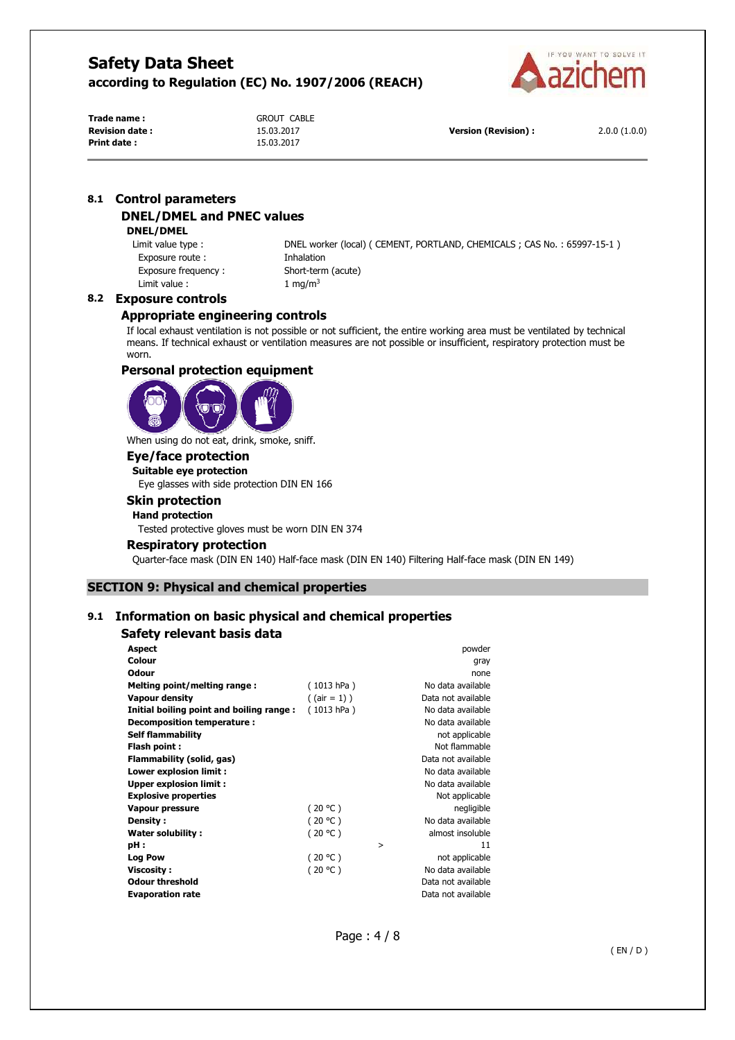

**Trade name :** GROUT CABLE **Print date :** 15.03.2017

**Revision date :** 15.03.2017 **Version (Revision) :** 2.0.0 (1.0.0)

# **8.1 Control parameters DNEL/DMEL and PNEC values**

#### **DNEL/DMEL**

Exposure route : **Inhalation** Exposure frequency : Short-term (acute) Limit value :  $1 \text{ mg/m}^3$ 

Limit value type : DNEL worker (local) ( CEMENT, PORTLAND, CHEMICALS ; CAS No. : 65997-15-1 )

### **8.2 Exposure controls**

# **Appropriate engineering controls**

If local exhaust ventilation is not possible or not sufficient, the entire working area must be ventilated by technical means. If technical exhaust or ventilation measures are not possible or insufficient, respiratory protection must be worn.

### **Personal protection equipment**



When using do not eat, drink, smoke, sniff.

# **Eye/face protection**

**Suitable eye protection**  Eye glasses with side protection DIN EN 166

# **Skin protection**

# **Hand protection**

Tested protective gloves must be worn DIN EN 374

#### **Respiratory protection**

Quarter-face mask (DIN EN 140) Half-face mask (DIN EN 140) Filtering Half-face mask (DIN EN 149)

# **SECTION 9: Physical and chemical properties**

# **9.1 Information on basic physical and chemical properties**

# **Safety relevant basis data**

| <b>Aspect</b>                            |                 | powder             |
|------------------------------------------|-----------------|--------------------|
| Colour                                   |                 | gray               |
| <b>Odour</b>                             |                 | none               |
| Melting point/melting range:             | (1013 hPa)      | No data available  |
| <b>Vapour density</b>                    | $($ (air = 1) ) | Data not available |
| Initial boiling point and boiling range: | (1013 hPa)      | No data available  |
| Decomposition temperature:               |                 | No data available  |
| <b>Self flammability</b>                 |                 | not applicable     |
| Flash point:                             |                 | Not flammable      |
| Flammability (solid, gas)                |                 | Data not available |
| Lower explosion limit :                  |                 | No data available  |
| <b>Upper explosion limit:</b>            |                 | No data available  |
| <b>Explosive properties</b>              |                 | Not applicable     |
| Vapour pressure                          | (20 °C)         | negligible         |
| Density:                                 | (20 °C)         | No data available  |
| Water solubility:                        | (20 °C)         | almost insoluble   |
| pH:                                      |                 | 11<br>>            |
| <b>Log Pow</b>                           | (20 °C)         | not applicable     |
| <b>Viscosity:</b>                        | (20 °C)         | No data available  |
| <b>Odour threshold</b>                   |                 | Data not available |
| <b>Evaporation rate</b>                  |                 | Data not available |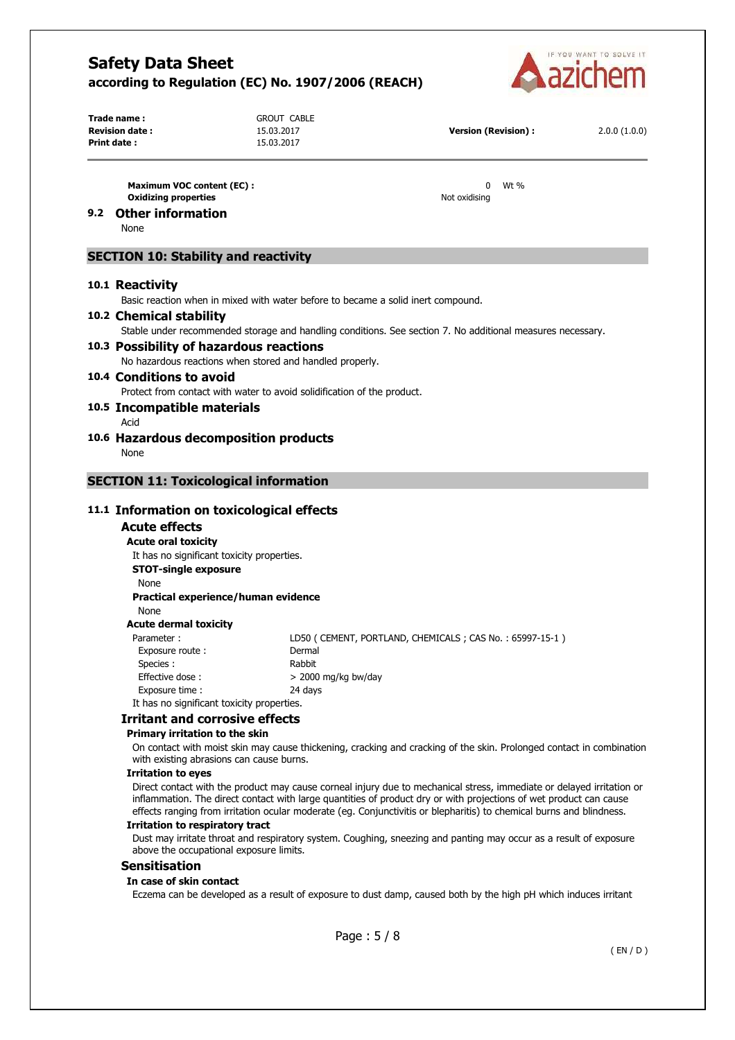

**Print date :** 15.03.2017

**Trade name :** GROUT CABLE

| Revision date : | 15.03.2017 | <b>Version (Revision):</b> | 2.0.0(1.0.0) |
|-----------------|------------|----------------------------|--------------|
|-----------------|------------|----------------------------|--------------|

| Maximum VOC content (EC):   |               | Wt % |
|-----------------------------|---------------|------|
| <b>Oxidizing properties</b> | Not oxidising |      |

# **9.2 Other information**

None

# **SECTION 10: Stability and reactivity**

#### **10.1 Reactivity**

Basic reaction when in mixed with water before to became a solid inert compound.

# **10.2 Chemical stability**

Stable under recommended storage and handling conditions. See section 7. No additional measures necessary.

#### **10.3 Possibility of hazardous reactions**  No hazardous reactions when stored and handled properly.

#### **10.4 Conditions to avoid**  Protect from contact with water to avoid solidification of the product.

#### **10.5 Incompatible materials**

- Acid
- **10.6 Hazardous decomposition products**  None

# **SECTION 11: Toxicological information**

### **11.1 Information on toxicological effects**

#### **Acute effects**

**Acute oral toxicity** 

It has no significant toxicity properties.

**STOT-single exposure** 

None

#### **Practical experience/human evidence**

None **Acute dermal toxicity** 

Parameter : LD50 ( CEMENT, PORTLAND, CHEMICALS ; CAS No. : 65997-15-1 ) Exposure route : Dermal Species : Rabbit Effective dose :  $> 2000$  mg/kg bw/day Exposure time : 24 days

It has no significant toxicity properties.

#### **Irritant and corrosive effects**

#### **Primary irritation to the skin**

On contact with moist skin may cause thickening, cracking and cracking of the skin. Prolonged contact in combination with existing abrasions can cause burns.

#### **Irritation to eyes**

Direct contact with the product may cause corneal injury due to mechanical stress, immediate or delayed irritation or inflammation. The direct contact with large quantities of product dry or with projections of wet product can cause effects ranging from irritation ocular moderate (eg. Conjunctivitis or blepharitis) to chemical burns and blindness.

#### **Irritation to respiratory tract**

Dust may irritate throat and respiratory system. Coughing, sneezing and panting may occur as a result of exposure above the occupational exposure limits.

#### **Sensitisation**

#### **In case of skin contact**

Eczema can be developed as a result of exposure to dust damp, caused both by the high pH which induces irritant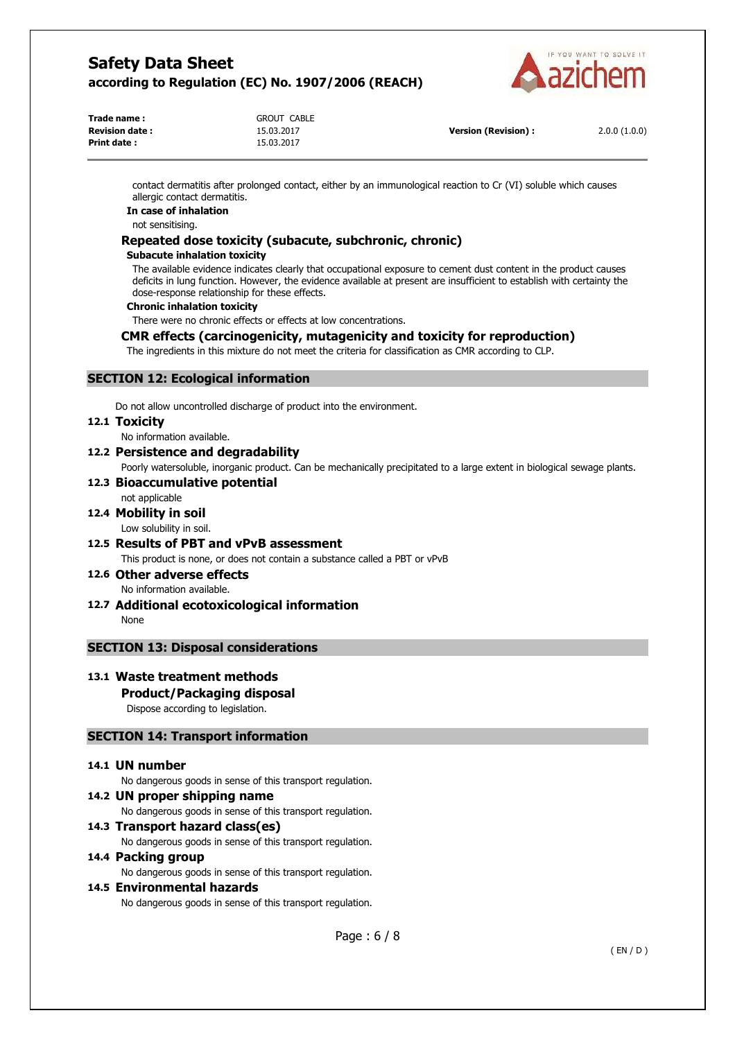

| <b>GROUT CABLE</b> |
|--------------------|
| 15.03.2017         |
| 15.03.2017         |
|                    |

**Version (Revision) :** 2.0.0 (1.0.0)

contact dermatitis after prolonged contact, either by an immunological reaction to Cr (VI) soluble which causes allergic contact dermatitis.

#### **In case of inhalation**

not sensitising.

# **Repeated dose toxicity (subacute, subchronic, chronic)**

#### **Subacute inhalation toxicity**

The available evidence indicates clearly that occupational exposure to cement dust content in the product causes deficits in lung function. However, the evidence available at present are insufficient to establish with certainty the dose-response relationship for these effects.

#### **Chronic inhalation toxicity**

There were no chronic effects or effects at low concentrations.

# **CMR effects (carcinogenicity, mutagenicity and toxicity for reproduction)**

The ingredients in this mixture do not meet the criteria for classification as CMR according to CLP.

# **SECTION 12: Ecological information**

Do not allow uncontrolled discharge of product into the environment.

#### **12.1 Toxicity**

No information available.

### **12.2 Persistence and degradability**

Poorly watersoluble, inorganic product. Can be mechanically precipitated to a large extent in biological sewage plants.

# **12.3 Bioaccumulative potential**

not applicable

# **12.4 Mobility in soil**

Low solubility in soil.

# **12.5 Results of PBT and vPvB assessment**

This product is none, or does not contain a substance called a PBT or vPvB

# **12.6 Other adverse effects**

No information available.

**12.7 Additional ecotoxicological information** 

None

# **SECTION 13: Disposal considerations**

# **13.1 Waste treatment methods**

# **Product/Packaging disposal**

Dispose according to legislation.

# **SECTION 14: Transport information**

#### **14.1 UN number**

No dangerous goods in sense of this transport regulation.

### **14.2 UN proper shipping name**

No dangerous goods in sense of this transport regulation.

### **14.3 Transport hazard class(es)**

No dangerous goods in sense of this transport regulation.

# **14.4 Packing group**

No dangerous goods in sense of this transport regulation.

# **14.5 Environmental hazards**

No dangerous goods in sense of this transport regulation.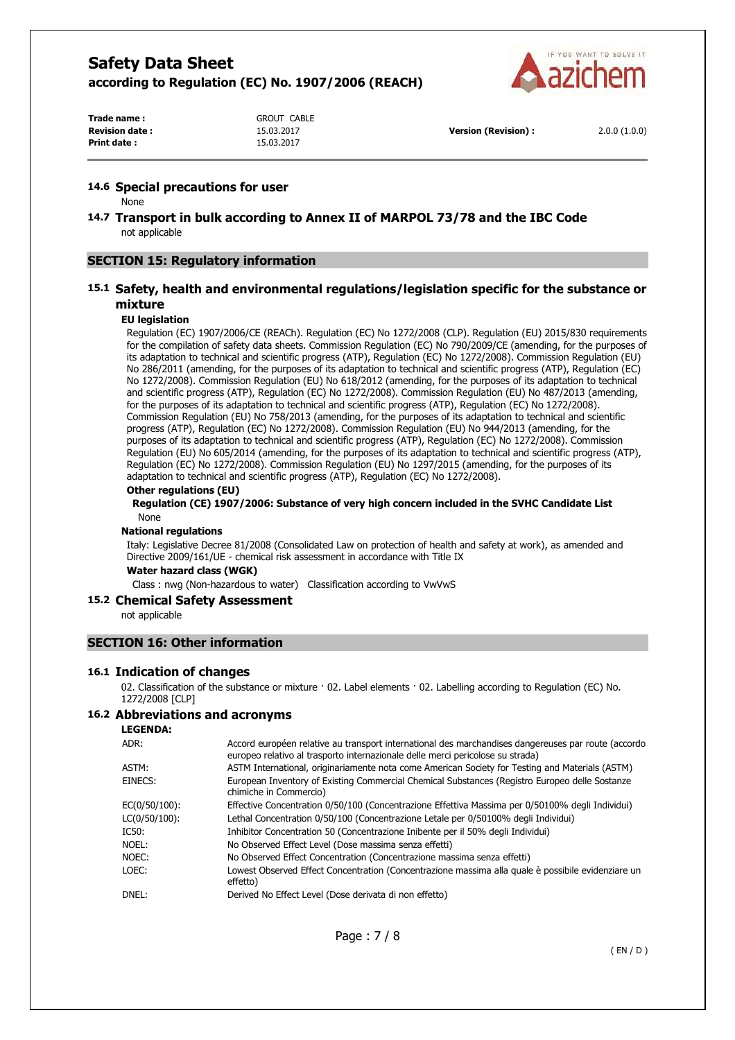

**Trade name :** GROUT CABLE **Print date :** 15.03.2017

**Revision date :** 15.03.2017 **Version (Revision) :** 2.0.0 (1.0.0)

### **14.6 Special precautions for user**

None

**14.7 Transport in bulk according to Annex II of MARPOL 73/78 and the IBC Code**  not applicable

# **SECTION 15: Regulatory information**

# **15.1 Safety, health and environmental regulations/legislation specific for the substance or mixture**

#### **EU legislation**

Regulation (EC) 1907/2006/CE (REACh). Regulation (EC) No 1272/2008 (CLP). Regulation (EU) 2015/830 requirements for the compilation of safety data sheets. Commission Regulation (EC) No 790/2009/CE (amending, for the purposes of its adaptation to technical and scientific progress (ATP), Regulation (EC) No 1272/2008). Commission Regulation (EU) No 286/2011 (amending, for the purposes of its adaptation to technical and scientific progress (ATP), Regulation (EC) No 1272/2008). Commission Regulation (EU) No 618/2012 (amending, for the purposes of its adaptation to technical and scientific progress (ATP), Regulation (EC) No 1272/2008). Commission Regulation (EU) No 487/2013 (amending, for the purposes of its adaptation to technical and scientific progress (ATP), Regulation (EC) No 1272/2008). Commission Regulation (EU) No 758/2013 (amending, for the purposes of its adaptation to technical and scientific progress (ATP), Regulation (EC) No 1272/2008). Commission Regulation (EU) No 944/2013 (amending, for the purposes of its adaptation to technical and scientific progress (ATP), Regulation (EC) No 1272/2008). Commission Regulation (EU) No 605/2014 (amending, for the purposes of its adaptation to technical and scientific progress (ATP), Regulation (EC) No 1272/2008). Commission Regulation (EU) No 1297/2015 (amending, for the purposes of its adaptation to technical and scientific progress (ATP), Regulation (EC) No 1272/2008).

#### **Other regulations (EU)**

**Regulation (CE) 1907/2006: Substance of very high concern included in the SVHC Candidate List**  None

#### **National regulations**

Italy: Legislative Decree 81/2008 (Consolidated Law on protection of health and safety at work), as amended and Directive 2009/161/UE - chemical risk assessment in accordance with Title IX

**Water hazard class (WGK)** 

Class : nwg (Non-hazardous to water) Classification according to VwVwS

# **15.2 Chemical Safety Assessment**

not applicable

# **SECTION 16: Other information**

#### **16.1 Indication of changes**

02. Classification of the substance or mixture · 02. Label elements · 02. Labelling according to Regulation (EC) No. 1272/2008 [CLP]

#### **16.2 Abbreviations and acronyms**

| <b>LEGENDA:</b> |  |
|-----------------|--|
|-----------------|--|

| ADR:          | Accord européen relative au transport international des marchandises dangereuses par route (accordo<br>europeo relativo al trasporto internazionale delle merci pericolose su strada) |
|---------------|---------------------------------------------------------------------------------------------------------------------------------------------------------------------------------------|
| ASTM:         | ASTM International, originariamente nota come American Society for Testing and Materials (ASTM)                                                                                       |
| EINECS:       | European Inventory of Existing Commercial Chemical Substances (Registro Europeo delle Sostanze<br>chimiche in Commercio)                                                              |
| EC(0/50/100): | Effective Concentration 0/50/100 (Concentrazione Effettiva Massima per 0/50100% degli Individui)                                                                                      |
| LC(0/50/100): | Lethal Concentration 0/50/100 (Concentrazione Letale per 0/50100% degli Individui)                                                                                                    |
| IC50:         | Inhibitor Concentration 50 (Concentrazione Inibente per il 50% degli Individui)                                                                                                       |
| NOEL:         | No Observed Effect Level (Dose massima senza effetti)                                                                                                                                 |
| NOEC:         | No Observed Effect Concentration (Concentrazione massima senza effetti)                                                                                                               |
| LOEC:         | Lowest Observed Effect Concentration (Concentrazione massima alla quale è possibile evidenziare un<br>effetto)                                                                        |
| DNEL:         | Derived No Effect Level (Dose derivata di non effetto)                                                                                                                                |
|               |                                                                                                                                                                                       |